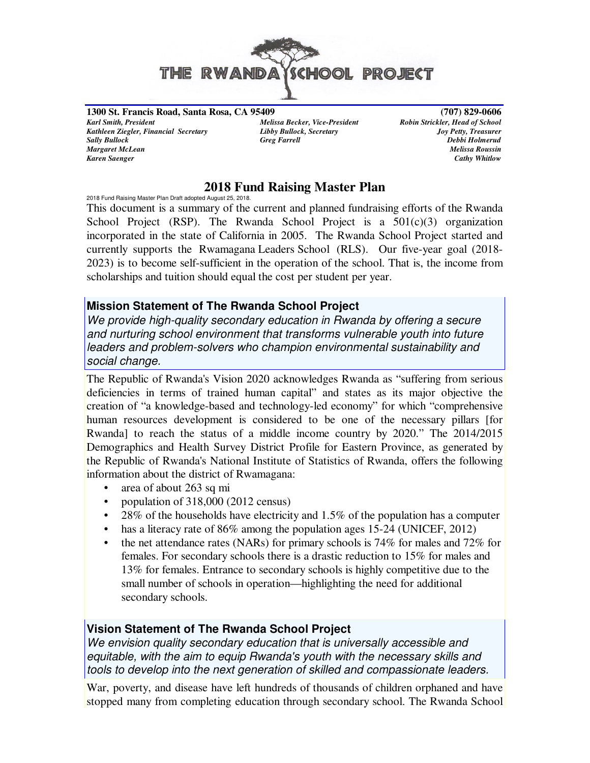

**1300 St. Francis Road, Santa Rosa, CA 95409 (707) 829-0606** *Karl Smith, President Melissa Becker, Vice-President Robin Strickler, Head of School Kathleen Ziegler, Financial Secretary Libby Bullock, Secretary Joy Petty, Treasurer Sally Bullock Greg Farrell Debbi Holmerud Margaret McLean Melissa Roussin Karen Saenger Cathy Whitlow*

## **2018 Fund Raising Master Plan**

2018 Fund Raising Master Plan Draft adopted August 25, 2018.

This document is a summary of the current and planned fundraising efforts of the Rwanda School Project (RSP). The Rwanda School Project is a  $501(c)(3)$  organization incorporated in the state of California in 2005. The Rwanda School Project started and currently supports the Rwamagana Leaders School (RLS). Our five-year goal (2018- 2023) is to become self-sufficient in the operation of the school. That is, the income from scholarships and tuition should equal the cost per student per year.

## **Mission Statement of The Rwanda School Project**

We provide high-quality secondary education in Rwanda by offering a secure and nurturing school environment that transforms vulnerable youth into future leaders and problem-solvers who champion environmental sustainability and social change.

The Republic of Rwanda's Vision 2020 acknowledges Rwanda as "suffering from serious deficiencies in terms of trained human capital" and states as its major objective the creation of "a knowledge-based and technology-led economy" for which "comprehensive human resources development is considered to be one of the necessary pillars [for Rwanda] to reach the status of a middle income country by 2020." The 2014/2015 Demographics and Health Survey District Profile for Eastern Province, as generated by the Republic of Rwanda's National Institute of Statistics of Rwanda, offers the following information about the district of Rwamagana:

- area of about 263 sq mi
- population of 318,000 (2012 census)
- 28% of the households have electricity and  $1.5\%$  of the population has a computer
- has a literacy rate of 86% among the population ages 15-24 (UNICEF, 2012)
- the net attendance rates (NARs) for primary schools is 74% for males and 72% for females. For secondary schools there is a drastic reduction to 15% for males and 13% for females. Entrance to secondary schools is highly competitive due to the small number of schools in operation—highlighting the need for additional secondary schools.

## **Vision Statement of The Rwanda School Project**

We envision quality secondary education that is universally accessible and equitable, with the aim to equip Rwanda's youth with the necessary skills and tools to develop into the next generation of skilled and compassionate leaders.

War, poverty, and disease have left hundreds of thousands of children orphaned and have stopped many from completing education through secondary school. The Rwanda School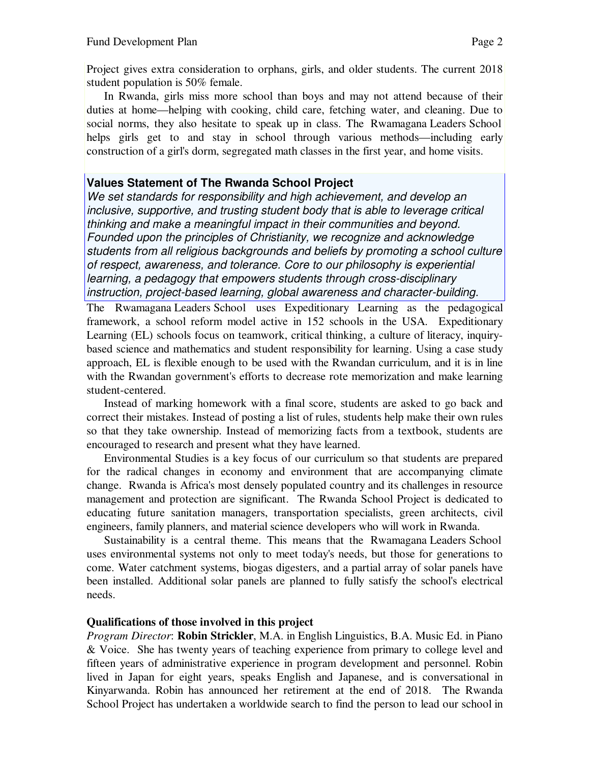Project gives extra consideration to orphans, girls, and older students. The current 2018 student population is 50% female.

 In Rwanda, girls miss more school than boys and may not attend because of their duties at home—helping with cooking, child care, fetching water, and cleaning. Due to social norms, they also hesitate to speak up in class. The Rwamagana Leaders School helps girls get to and stay in school through various methods—including early construction of a girl's dorm, segregated math classes in the first year, and home visits.

## **Values Statement of The Rwanda School Project**

We set standards for responsibility and high achievement, and develop an inclusive, supportive, and trusting student body that is able to leverage critical thinking and make a meaningful impact in their communities and beyond. Founded upon the principles of Christianity, we recognize and acknowledge students from all religious backgrounds and beliefs by promoting a school culture of respect, awareness, and tolerance. Core to our philosophy is experiential learning, a pedagogy that empowers students through cross-disciplinary instruction, project-based learning, global awareness and character-building.

The Rwamagana Leaders School uses Expeditionary Learning as the pedagogical framework, a school reform model active in 152 schools in the USA. Expeditionary Learning (EL) schools focus on teamwork, critical thinking, a culture of literacy, inquirybased science and mathematics and student responsibility for learning. Using a case study approach, EL is flexible enough to be used with the Rwandan curriculum, and it is in line with the Rwandan government's efforts to decrease rote memorization and make learning student-centered.

Instead of marking homework with a final score, students are asked to go back and correct their mistakes. Instead of posting a list of rules, students help make their own rules so that they take ownership. Instead of memorizing facts from a textbook, students are encouraged to research and present what they have learned.

Environmental Studies is a key focus of our curriculum so that students are prepared for the radical changes in economy and environment that are accompanying climate change. Rwanda is Africa's most densely populated country and its challenges in resource management and protection are significant. The Rwanda School Project is dedicated to educating future sanitation managers, transportation specialists, green architects, civil engineers, family planners, and material science developers who will work in Rwanda.

Sustainability is a central theme. This means that the Rwamagana Leaders School uses environmental systems not only to meet today's needs, but those for generations to come. Water catchment systems, biogas digesters, and a partial array of solar panels have been installed. Additional solar panels are planned to fully satisfy the school's electrical needs.

## **Qualifications of those involved in this project**

*Program Director*: **Robin Strickler**, M.A. in English Linguistics, B.A. Music Ed. in Piano & Voice. She has twenty years of teaching experience from primary to college level and fifteen years of administrative experience in program development and personnel. Robin lived in Japan for eight years, speaks English and Japanese, and is conversational in Kinyarwanda. Robin has announced her retirement at the end of 2018. The Rwanda School Project has undertaken a worldwide search to find the person to lead our school in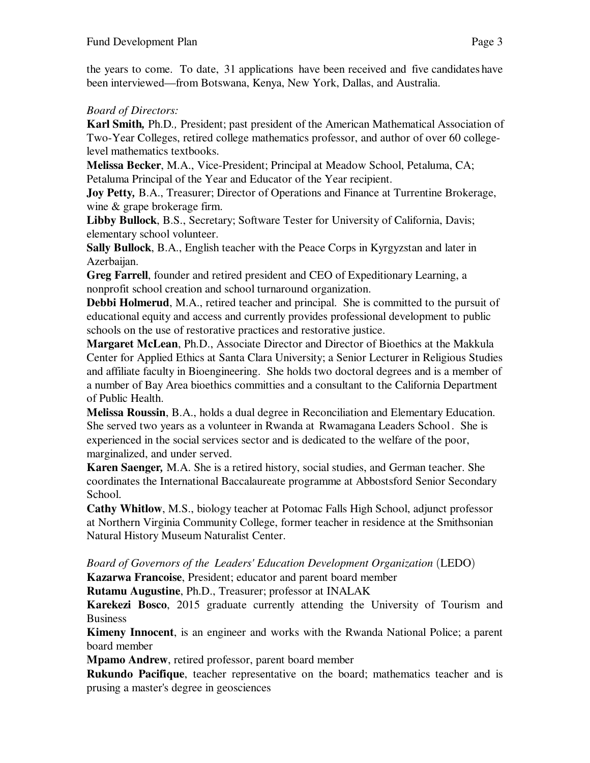the years to come. To date, 31 applications have been received and five candidates have been interviewed—from Botswana, Kenya, New York, Dallas, and Australia.

# *Board of Directors:*

**Karl Smith**, Ph.D., President; past president of the American Mathematical Association of Two-Year Colleges, retired college mathematics professor, and author of over 60 collegelevel mathematics textbooks.

**Melissa Becker**, M.A., Vice-President; Principal at Meadow School, Petaluma, CA; Petaluma Principal of the Year and Educator of the Year recipient.

**Joy Petty***,* B.A., Treasurer; Director of Operations and Finance at Turrentine Brokerage, wine & grape brokerage firm.

**Libby Bullock**, B.S., Secretary; Software Tester for University of California, Davis; elementary school volunteer.

**Sally Bullock**, B.A., English teacher with the Peace Corps in Kyrgyzstan and later in Azerbaijan.

**Greg Farrell**, founder and retired president and CEO of Expeditionary Learning, a nonprofit school creation and school turnaround organization.

**Debbi Holmerud**, M.A., retired teacher and principal. She is committed to the pursuit of educational equity and access and currently provides professional development to public schools on the use of restorative practices and restorative justice.

**Margaret McLean**, Ph.D., Associate Director and Director of Bioethics at the Makkula Center for Applied Ethics at Santa Clara University; a Senior Lecturer in Religious Studies and affiliate faculty in Bioengineering. She holds two doctoral degrees and is a member of a number of Bay Area bioethics committies and a consultant to the California Department of Public Health.

**Melissa Roussin**, B.A., holds a dual degree in Reconciliation and Elementary Education. She served two years as a volunteer in Rwanda at Rwamagana Leaders School. She is experienced in the social services sector and is dedicated to the welfare of the poor, marginalized, and under served.

**Karen Saenger***,* M.A. She is a retired history, social studies, and German teacher. She coordinates the International Baccalaureate programme at Abbostsford Senior Secondary School.

**Cathy Whitlow**, M.S., biology teacher at Potomac Falls High School, adjunct professor at Northern Virginia Community College, former teacher in residence at the Smithsonian Natural History Museum Naturalist Center.

Board of Governors of the Leaders' Education Development Organization (LEDO) **Kazarwa Francoise**, President; educator and parent board member

**Rutamu Augustine**, Ph.D., Treasurer; professor at INALAK

**Karekezi Bosco**, 2015 graduate currently attending the University of Tourism and Business

**Kimeny Innocent**, is an engineer and works with the Rwanda National Police; a parent board member

**Mpamo Andrew**, retired professor, parent board member

**Rukundo Pacifique**, teacher representative on the board; mathematics teacher and is prusing a master's degree in geosciences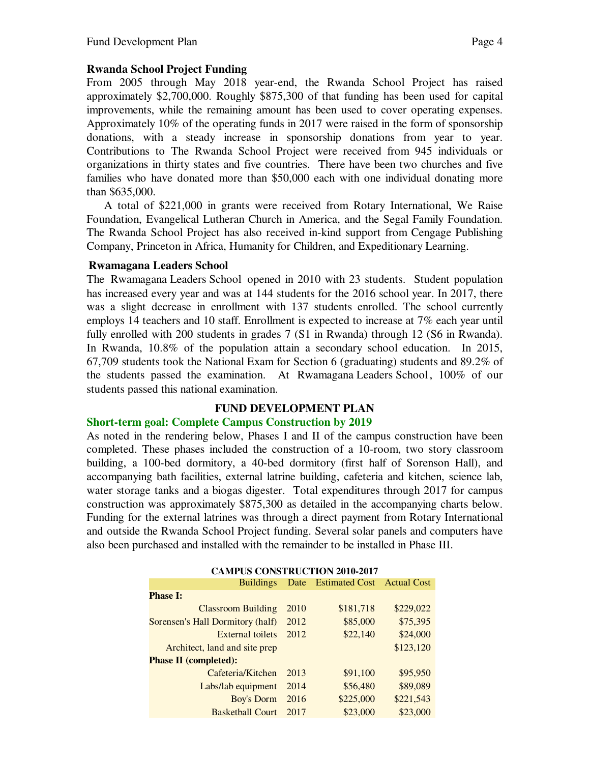### **Rwanda School Project Funding**

From 2005 through May 2018 year-end, the Rwanda School Project has raised approximately \$2,700,000. Roughly \$875,300 of that funding has been used for capital improvements, while the remaining amount has been used to cover operating expenses. Approximately 10% of the operating funds in 2017 were raised in the form of sponsorship donations, with a steady increase in sponsorship donations from year to year. Contributions to The Rwanda School Project were received from 945 individuals or organizations in thirty states and five countries. There have been two churches and five families who have donated more than \$50,000 each with one individual donating more than \$635,000.

A total of \$221,000 in grants were received from Rotary International, We Raise Foundation, Evangelical Lutheran Church in America, and the Segal Family Foundation. The Rwanda School Project has also received in-kind support from Cengage Publishing Company, Princeton in Africa, Humanity for Children, and Expeditionary Learning.

#### **Rwamagana Leaders School**

The Rwamagana Leaders School opened in 2010 with 23 students. Student population has increased every year and was at 144 students for the 2016 school year. In 2017, there was a slight decrease in enrollment with 137 students enrolled. The school currently employs 14 teachers and 10 staff. Enrollment is expected to increase at 7% each year until fully enrolled with 200 students in grades 7 (S1 in Rwanda) through 12 (S6 in Rwanda). In Rwanda, 10.8% of the population attain a secondary school education. In 2015, 67,709 students took the National Exam for Section 6 (graduating) students and 89.2% of the students passed the examination. At Rwamagana Leaders School, 100% of our students passed this national examination.

## **FUND DEVELOPMENT PLAN**

#### **Short-term goal: Complete Campus Construction by 2019**

As noted in the rendering below, Phases I and II of the campus construction have been completed. These phases included the construction of a 10-room, two story classroom building, a 100-bed dormitory, a 40-bed dormitory (first half of Sorenson Hall), and accompanying bath facilities, external latrine building, cafeteria and kitchen, science lab, water storage tanks and a biogas digester. Total expenditures through 2017 for campus construction was approximately \$875,300 as detailed in the accompanying charts below. Funding for the external latrines was through a direct payment from Rotary International and outside the Rwanda School Project funding. Several solar panels and computers have also been purchased and installed with the remainder to be installed in Phase III.

| <b>CAMPUS CONSTRUCTION 2010-2017</b> |      |                     |                    |  |  |  |  |
|--------------------------------------|------|---------------------|--------------------|--|--|--|--|
| <b>Buildings</b>                     |      | Date Estimated Cost | <b>Actual Cost</b> |  |  |  |  |
| <b>Phase I:</b>                      |      |                     |                    |  |  |  |  |
| <b>Classroom Building</b>            | 2010 | \$181,718           | \$229,022          |  |  |  |  |
| Sorensen's Hall Dormitory (half)     | 2012 | \$85,000            | \$75,395           |  |  |  |  |
| External toilets                     | 2012 | \$22,140            | \$24,000           |  |  |  |  |
| Architect, land and site prep        |      |                     | \$123,120          |  |  |  |  |
| <b>Phase II (completed):</b>         |      |                     |                    |  |  |  |  |
| Cafeteria/Kitchen                    | 2013 | \$91,100            | \$95,950           |  |  |  |  |
| Labs/lab equipment                   | 2014 | \$56,480            | \$89,089           |  |  |  |  |
| Boy's Dorm                           | 2016 | \$225,000           | \$221,543          |  |  |  |  |
| <b>Basketball Court</b>              | 2017 | \$23,000            | \$23,000           |  |  |  |  |

**CAMPUS CONSTRUCTION 2010-2017**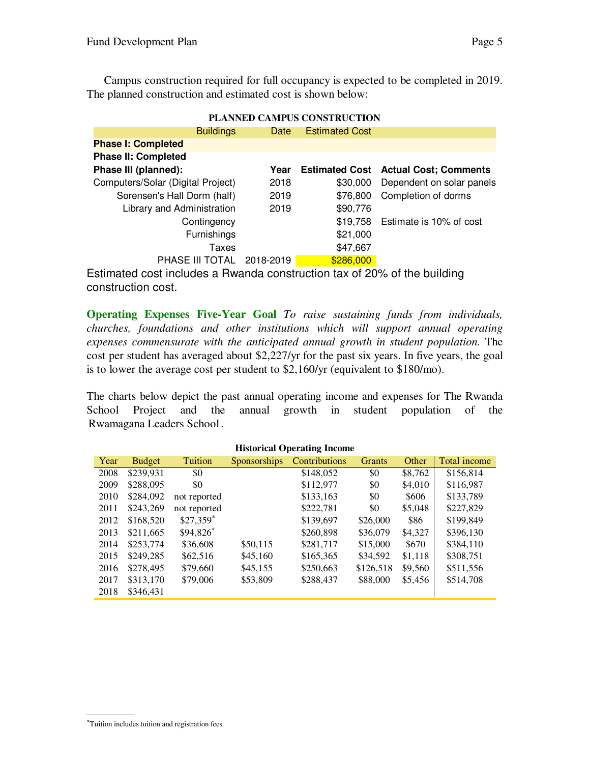Campus construction required for full occupancy is expected to be completed in 2019. The planned construction and estimated cost is shown below:

| PLANNED CAMPUS CONSTRUCTION       |           |                       |                                             |  |  |  |  |
|-----------------------------------|-----------|-----------------------|---------------------------------------------|--|--|--|--|
| <b>Buildings</b>                  | Date      | <b>Estimated Cost</b> |                                             |  |  |  |  |
| <b>Phase I: Completed</b>         |           |                       |                                             |  |  |  |  |
| <b>Phase II: Completed</b>        |           |                       |                                             |  |  |  |  |
| Phase III (planned):              | Year      |                       | <b>Estimated Cost Actual Cost: Comments</b> |  |  |  |  |
| Computers/Solar (Digital Project) | 2018      | \$30,000              | Dependent on solar panels                   |  |  |  |  |
| Sorensen's Hall Dorm (half)       | 2019      | \$76,800              | Completion of dorms                         |  |  |  |  |
| Library and Administration        | 2019      | \$90,776              |                                             |  |  |  |  |
| Contingency                       |           | \$19,758              | Estimate is 10% of cost                     |  |  |  |  |
| <b>Furnishings</b>                |           | \$21,000              |                                             |  |  |  |  |
| Taxes                             |           | \$47,667              |                                             |  |  |  |  |
| PHASE III TOTAL                   | 2018-2019 | \$286,000             |                                             |  |  |  |  |

# **PLANNED CAMPUS CONSTRUCTION**

Estimated cost includes a Rwanda construction tax of 20% of the building construction cost.

**Operating Expenses Five-Year Goal** *To raise sustaining funds from individuals, churches, foundations and other institutions which will support annual operating expenses commensurate with the anticipated annual growth in student population.* The cost per student has averaged about \$2,227/yr for the past six years. In five years, the goal is to lower the average cost per student to \$2,160/yr (equivalent to \$180/mo).

The charts below depict the past annual operating income and expenses for The Rwanda School Project and the annual growth in student population of the Rwamagana Leaders School.

| <b>Historical Operating Income</b> |               |                        |              |               |           |         |              |
|------------------------------------|---------------|------------------------|--------------|---------------|-----------|---------|--------------|
| Year                               | <b>Budget</b> | Tuition                | Sponsorships | Contributions | Grants    | Other   | Total income |
| 2008                               | \$239,931     | \$0                    |              | \$148,052     | \$0       | \$8,762 | \$156,814    |
| 2009                               | \$288,095     | \$0                    |              | \$112,977     | \$0       | \$4,010 | \$116,987    |
| 2010                               | \$284,092     | not reported           |              | \$133,163     | \$0       | \$606   | \$133,789    |
| 2011                               | \$243,269     | not reported           |              | \$222,781     | \$0       | \$5,048 | \$227,829    |
| 2012                               | \$168,520     | $$27,359$ <sup>*</sup> |              | \$139,697     | \$26,000  | \$86    | \$199,849    |
| 2013                               | \$211,665     | \$94,826*              |              | \$260,898     | \$36,079  | \$4,327 | \$396,130    |
| 2014                               | \$253,774     | \$36,608               | \$50,115     | \$281,717     | \$15,000  | \$670   | \$384,110    |
| 2015                               | \$249.285     | \$62,516               | \$45,160     | \$165,365     | \$34,592  | \$1,118 | \$308,751    |
| 2016                               | \$278.495     | \$79,660               | \$45,155     | \$250,663     | \$126,518 | \$9,560 | \$511,556    |
| 2017                               | \$313,170     | \$79,006               | \$53,809     | \$288,437     | \$88,000  | \$5,456 | \$514,708    |
| 2018                               | \$346.431     |                        |              |               |           |         |              |
|                                    |               |                        |              |               |           |         |              |

<sup>\*</sup>Tuition includes tuition and registration fees.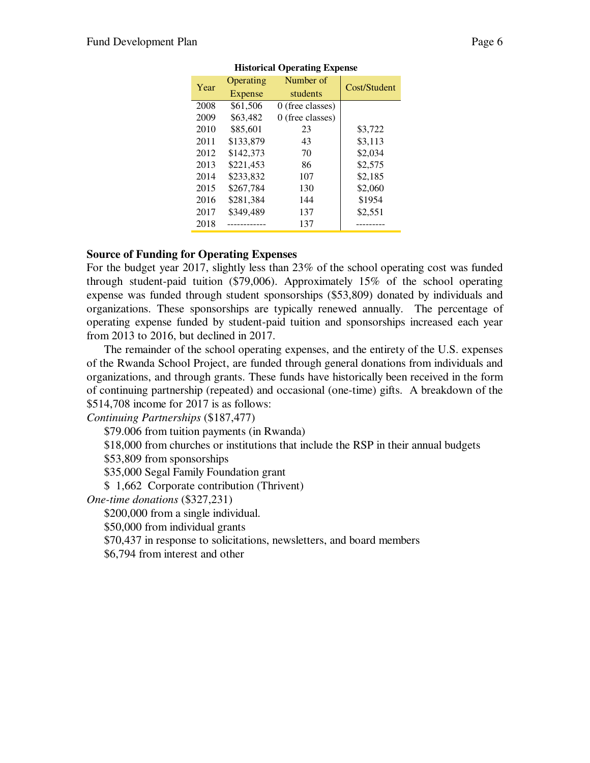| $\sim$ |           |                    |              |  |  |  |  |
|--------|-----------|--------------------|--------------|--|--|--|--|
| Year   | Operating | Number of          | Cost/Student |  |  |  |  |
|        | Expense   | students           |              |  |  |  |  |
| 2008   | \$61,506  | $0$ (free classes) |              |  |  |  |  |
| 2009   | \$63,482  | 0 (free classes)   |              |  |  |  |  |
| 2010   | \$85,601  | 23                 | \$3,722      |  |  |  |  |
| 2011   | \$133,879 | 43                 | \$3.113      |  |  |  |  |
| 2012   | \$142,373 | 70                 | \$2,034      |  |  |  |  |
| 2013   | \$221,453 | 86                 | \$2,575      |  |  |  |  |
| 2014   | \$233,832 | 107                | \$2,185      |  |  |  |  |
| 2015   | \$267,784 | 130                | \$2,060      |  |  |  |  |
| 2016   | \$281.384 | 144                | \$1954       |  |  |  |  |
| 2017   | \$349,489 | 137                | \$2,551      |  |  |  |  |
| 2018   |           | 137                |              |  |  |  |  |

#### **Historical Operating Expense**

#### **Source of Funding for Operating Expenses**

For the budget year 2017, slightly less than 23% of the school operating cost was funded through student-paid tuition (\$79,006). Approximately 15% of the school operating expense was funded through student sponsorships (\$53,809) donated by individuals and organizations. These sponsorships are typically renewed annually. The percentage of operating expense funded by student-paid tuition and sponsorships increased each year from 2013 to 2016, but declined in 2017.

The remainder of the school operating expenses, and the entirety of the U.S. expenses of the Rwanda School Project, are funded through general donations from individuals and organizations, and through grants. These funds have historically been received in the form of continuing partnership (repeated) and occasional (one-time) gifts. A breakdown of the \$514,708 income for 2017 is as follows:

*Continuing Partnerships* (\$187,477)

\$79.006 from tuition payments (in Rwanda)

\$18,000 from churches or institutions that include the RSP in their annual budgets

\$53,809 from sponsorships

\$35,000 Segal Family Foundation grant

\$ 1,662 Corporate contribution (Thrivent)

*One-time donations* (\$327,231)

\$200,000 from a single individual.

\$50,000 from individual grants

\$70,437 in response to solicitations, newsletters, and board members

\$6,794 from interest and other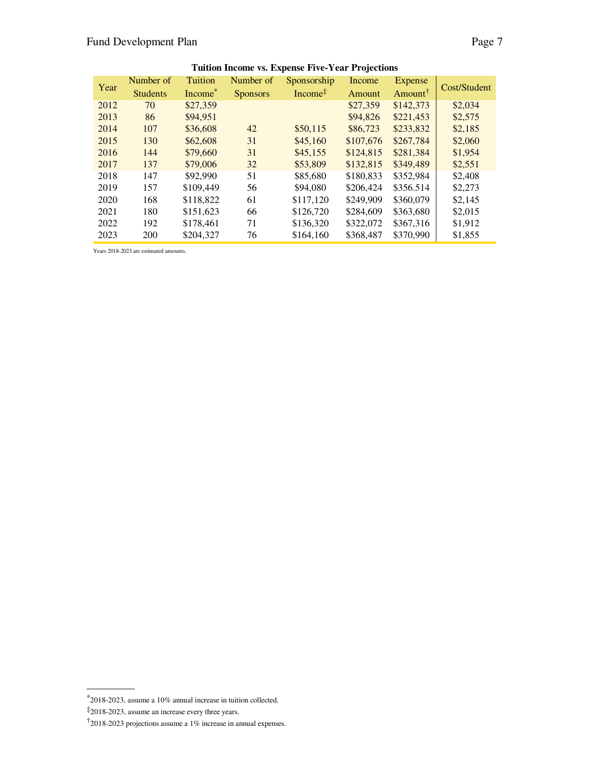| Year | Number of       | Tuition             | Number of       | Sponsorship         | Income    | Expense             | Cost/Student |  |
|------|-----------------|---------------------|-----------------|---------------------|-----------|---------------------|--------------|--|
|      | <b>Students</b> | Income <sup>*</sup> | <b>Sponsors</b> | Income <sup>‡</sup> | Amount    | Amount <sup>†</sup> |              |  |
| 2012 | 70              | \$27,359            |                 |                     | \$27,359  | \$142,373           | \$2,034      |  |
| 2013 | 86              | \$94,951            |                 |                     | \$94,826  | \$221,453           | \$2,575      |  |
| 2014 | 107             | \$36,608            | 42              | \$50,115            | \$86,723  | \$233,832           | \$2,185      |  |
| 2015 | 130             | \$62,608            | 31              | \$45,160            | \$107,676 | \$267,784           | \$2,060      |  |
| 2016 | 144             | \$79,660            | 31              | \$45,155            | \$124,815 | \$281,384           | \$1,954      |  |
| 2017 | 137             | \$79,006            | 32              | \$53,809            | \$132,815 | \$349,489           | \$2,551      |  |
| 2018 | 147             | \$92,990            | 51              | \$85,680            | \$180,833 | \$352,984           | \$2,408      |  |
| 2019 | 157             | \$109,449           | 56              | \$94,080            | \$206,424 | \$356.514           | \$2,273      |  |
| 2020 | 168             | \$118,822           | 61              | \$117.120           | \$249,909 | \$360,079           | \$2,145      |  |
| 2021 | 180             | \$151,623           | 66              | \$126,720           | \$284,609 | \$363,680           | \$2,015      |  |
| 2022 | 192             | \$178,461           | 71              | \$136,320           | \$322,072 | \$367,316           | \$1,912      |  |
| 2023 | 200             | \$204,327           | 76              | \$164,160           | \$368,487 | \$370,990           | \$1,855      |  |

**Tuition Income vs. Expense Five-Year Projections**

Years 2018-2023 are estimated amounts.

 $*$ 2018-2023, assume a 10% annual increase in tuition collected.

<sup>‡2018-2023,</sup> assume an increase every three years.

<sup>†2018-2023</sup> projections assume a 1% increase in annual expenses.